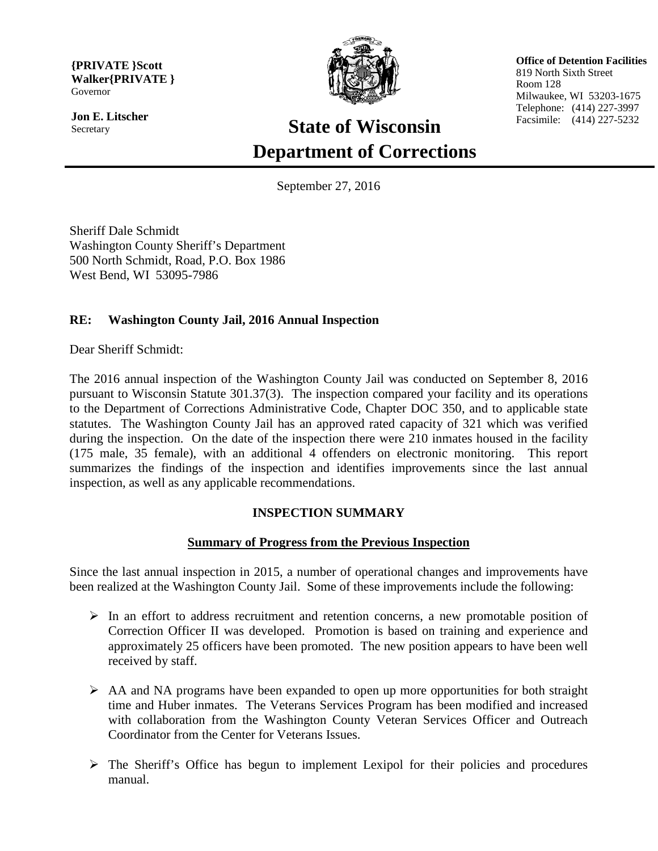**{PRIVATE }Scott Walker{PRIVATE }** Governor

**Jon E. Litscher** Secretary



 **Office of Detention Facilities** 819 North Sixth Street Room 128 Milwaukee, WI 53203-1675 Telephone: (414) 227-3997 Facsimile: (414) 227-5232

# **State of Wisconsin Department of Corrections**

September 27, 2016

Sheriff Dale Schmidt Washington County Sheriff's Department 500 North Schmidt, Road, P.O. Box 1986 West Bend, WI 53095-7986

# **RE: Washington County Jail, 2016 Annual Inspection**

Dear Sheriff Schmidt:

The 2016 annual inspection of the Washington County Jail was conducted on September 8, 2016 pursuant to Wisconsin Statute 301.37(3). The inspection compared your facility and its operations to the Department of Corrections Administrative Code, Chapter DOC 350, and to applicable state statutes. The Washington County Jail has an approved rated capacity of 321 which was verified during the inspection. On the date of the inspection there were 210 inmates housed in the facility (175 male, 35 female), with an additional 4 offenders on electronic monitoring. This report summarizes the findings of the inspection and identifies improvements since the last annual inspection, as well as any applicable recommendations.

# **INSPECTION SUMMARY**

# **Summary of Progress from the Previous Inspection**

Since the last annual inspection in 2015, a number of operational changes and improvements have been realized at the Washington County Jail. Some of these improvements include the following:

- $\triangleright$  In an effort to address recruitment and retention concerns, a new promotable position of Correction Officer II was developed. Promotion is based on training and experience and approximately 25 officers have been promoted. The new position appears to have been well received by staff.
- $\triangleright$  AA and NA programs have been expanded to open up more opportunities for both straight time and Huber inmates. The Veterans Services Program has been modified and increased with collaboration from the Washington County Veteran Services Officer and Outreach Coordinator from the Center for Veterans Issues.
- $\triangleright$  The Sheriff's Office has begun to implement Lexipol for their policies and procedures manual.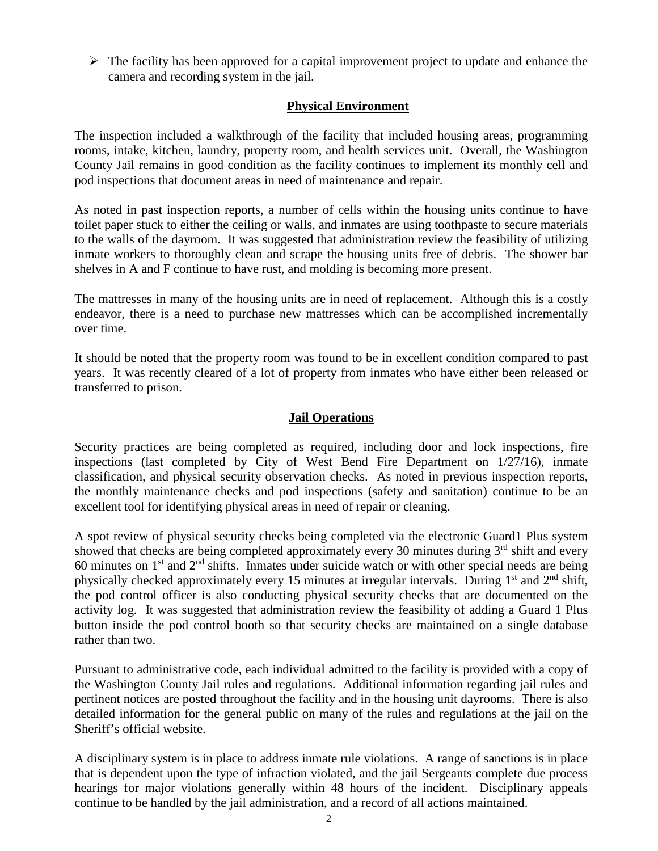$\triangleright$  The facility has been approved for a capital improvement project to update and enhance the camera and recording system in the jail.

# **Physical Environment**

The inspection included a walkthrough of the facility that included housing areas, programming rooms, intake, kitchen, laundry, property room, and health services unit. Overall, the Washington County Jail remains in good condition as the facility continues to implement its monthly cell and pod inspections that document areas in need of maintenance and repair.

As noted in past inspection reports, a number of cells within the housing units continue to have toilet paper stuck to either the ceiling or walls, and inmates are using toothpaste to secure materials to the walls of the dayroom. It was suggested that administration review the feasibility of utilizing inmate workers to thoroughly clean and scrape the housing units free of debris. The shower bar shelves in A and F continue to have rust, and molding is becoming more present.

The mattresses in many of the housing units are in need of replacement. Although this is a costly endeavor, there is a need to purchase new mattresses which can be accomplished incrementally over time.

It should be noted that the property room was found to be in excellent condition compared to past years. It was recently cleared of a lot of property from inmates who have either been released or transferred to prison.

## **Jail Operations**

Security practices are being completed as required, including door and lock inspections, fire inspections (last completed by City of West Bend Fire Department on 1/27/16), inmate classification, and physical security observation checks. As noted in previous inspection reports, the monthly maintenance checks and pod inspections (safety and sanitation) continue to be an excellent tool for identifying physical areas in need of repair or cleaning.

A spot review of physical security checks being completed via the electronic Guard1 Plus system showed that checks are being completed approximately every 30 minutes during  $3<sup>rd</sup>$  shift and every 60 minutes on  $1<sup>st</sup>$  and  $2<sup>nd</sup>$  shifts. Inmates under suicide watch or with other special needs are being physically checked approximately every 15 minutes at irregular intervals. During  $1<sup>st</sup>$  and  $2<sup>nd</sup>$  shift, the pod control officer is also conducting physical security checks that are documented on the activity log. It was suggested that administration review the feasibility of adding a Guard 1 Plus button inside the pod control booth so that security checks are maintained on a single database rather than two.

Pursuant to administrative code, each individual admitted to the facility is provided with a copy of the Washington County Jail rules and regulations. Additional information regarding jail rules and pertinent notices are posted throughout the facility and in the housing unit dayrooms. There is also detailed information for the general public on many of the rules and regulations at the jail on the Sheriff's official website.

A disciplinary system is in place to address inmate rule violations. A range of sanctions is in place that is dependent upon the type of infraction violated, and the jail Sergeants complete due process hearings for major violations generally within 48 hours of the incident. Disciplinary appeals continue to be handled by the jail administration, and a record of all actions maintained.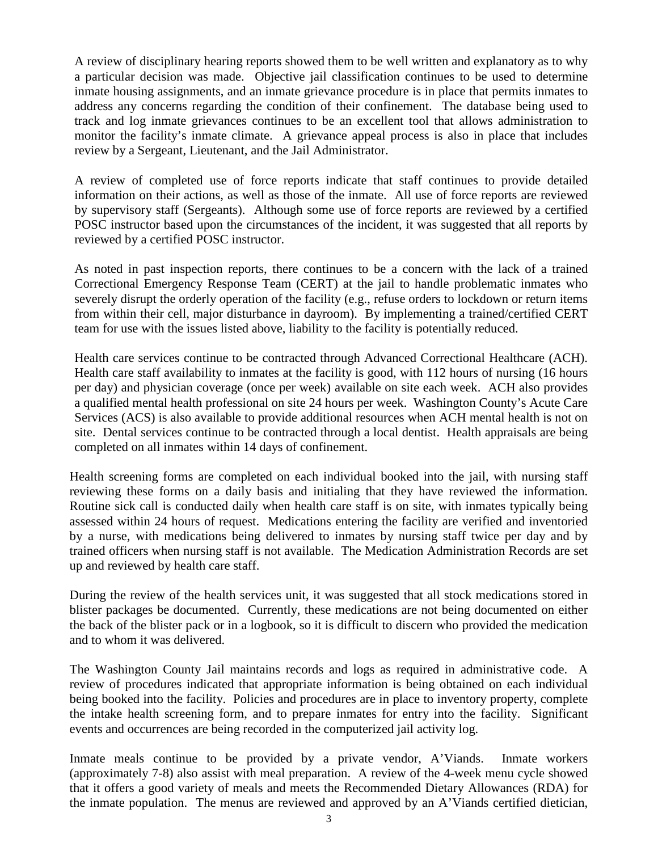A review of disciplinary hearing reports showed them to be well written and explanatory as to why a particular decision was made. Objective jail classification continues to be used to determine inmate housing assignments, and an inmate grievance procedure is in place that permits inmates to address any concerns regarding the condition of their confinement. The database being used to track and log inmate grievances continues to be an excellent tool that allows administration to monitor the facility's inmate climate. A grievance appeal process is also in place that includes review by a Sergeant, Lieutenant, and the Jail Administrator.

A review of completed use of force reports indicate that staff continues to provide detailed information on their actions, as well as those of the inmate. All use of force reports are reviewed by supervisory staff (Sergeants). Although some use of force reports are reviewed by a certified POSC instructor based upon the circumstances of the incident, it was suggested that all reports by reviewed by a certified POSC instructor.

As noted in past inspection reports, there continues to be a concern with the lack of a trained Correctional Emergency Response Team (CERT) at the jail to handle problematic inmates who severely disrupt the orderly operation of the facility (e.g., refuse orders to lockdown or return items from within their cell, major disturbance in dayroom). By implementing a trained/certified CERT team for use with the issues listed above, liability to the facility is potentially reduced.

Health care services continue to be contracted through Advanced Correctional Healthcare (ACH). Health care staff availability to inmates at the facility is good, with 112 hours of nursing (16 hours per day) and physician coverage (once per week) available on site each week. ACH also provides a qualified mental health professional on site 24 hours per week. Washington County's Acute Care Services (ACS) is also available to provide additional resources when ACH mental health is not on site. Dental services continue to be contracted through a local dentist. Health appraisals are being completed on all inmates within 14 days of confinement.

Health screening forms are completed on each individual booked into the jail, with nursing staff reviewing these forms on a daily basis and initialing that they have reviewed the information. Routine sick call is conducted daily when health care staff is on site, with inmates typically being assessed within 24 hours of request. Medications entering the facility are verified and inventoried by a nurse, with medications being delivered to inmates by nursing staff twice per day and by trained officers when nursing staff is not available. The Medication Administration Records are set up and reviewed by health care staff.

During the review of the health services unit, it was suggested that all stock medications stored in blister packages be documented. Currently, these medications are not being documented on either the back of the blister pack or in a logbook, so it is difficult to discern who provided the medication and to whom it was delivered.

The Washington County Jail maintains records and logs as required in administrative code. A review of procedures indicated that appropriate information is being obtained on each individual being booked into the facility. Policies and procedures are in place to inventory property, complete the intake health screening form, and to prepare inmates for entry into the facility. Significant events and occurrences are being recorded in the computerized jail activity log.

Inmate meals continue to be provided by a private vendor, A'Viands. Inmate workers (approximately 7-8) also assist with meal preparation. A review of the 4-week menu cycle showed that it offers a good variety of meals and meets the Recommended Dietary Allowances (RDA) for the inmate population. The menus are reviewed and approved by an A'Viands certified dietician,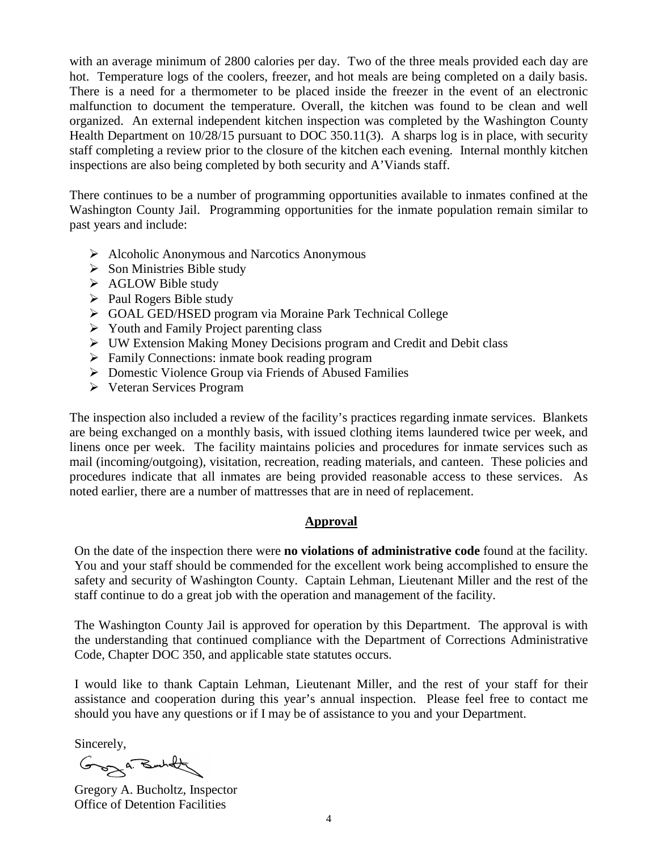with an average minimum of 2800 calories per day. Two of the three meals provided each day are hot. Temperature logs of the coolers, freezer, and hot meals are being completed on a daily basis. There is a need for a thermometer to be placed inside the freezer in the event of an electronic malfunction to document the temperature. Overall, the kitchen was found to be clean and well organized. An external independent kitchen inspection was completed by the Washington County Health Department on 10/28/15 pursuant to DOC 350.11(3). A sharps log is in place, with security staff completing a review prior to the closure of the kitchen each evening. Internal monthly kitchen inspections are also being completed by both security and A'Viands staff.

There continues to be a number of programming opportunities available to inmates confined at the Washington County Jail. Programming opportunities for the inmate population remain similar to past years and include:

- $\triangleright$  Alcoholic Anonymous and Narcotics Anonymous
- $\triangleright$  Son Ministries Bible study
- $\triangleright$  AGLOW Bible study
- $\triangleright$  Paul Rogers Bible study
- GOAL GED/HSED program via Moraine Park Technical College
- $\triangleright$  Youth and Family Project parenting class
- UW Extension Making Money Decisions program and Credit and Debit class
- Family Connections: inmate book reading program
- ▶ Domestic Violence Group via Friends of Abused Families
- Veteran Services Program

The inspection also included a review of the facility's practices regarding inmate services. Blankets are being exchanged on a monthly basis, with issued clothing items laundered twice per week, and linens once per week. The facility maintains policies and procedures for inmate services such as mail (incoming/outgoing), visitation, recreation, reading materials, and canteen. These policies and procedures indicate that all inmates are being provided reasonable access to these services. As noted earlier, there are a number of mattresses that are in need of replacement.

# **Approval**

On the date of the inspection there were **no violations of administrative code** found at the facility. You and your staff should be commended for the excellent work being accomplished to ensure the safety and security of Washington County. Captain Lehman, Lieutenant Miller and the rest of the staff continue to do a great job with the operation and management of the facility.

The Washington County Jail is approved for operation by this Department. The approval is with the understanding that continued compliance with the Department of Corrections Administrative Code, Chapter DOC 350, and applicable state statutes occurs.

I would like to thank Captain Lehman, Lieutenant Miller, and the rest of your staff for their assistance and cooperation during this year's annual inspection. Please feel free to contact me should you have any questions or if I may be of assistance to you and your Department.

Sincerely,

Groz A. Butlet

Gregory A. Bucholtz, Inspector Office of Detention Facilities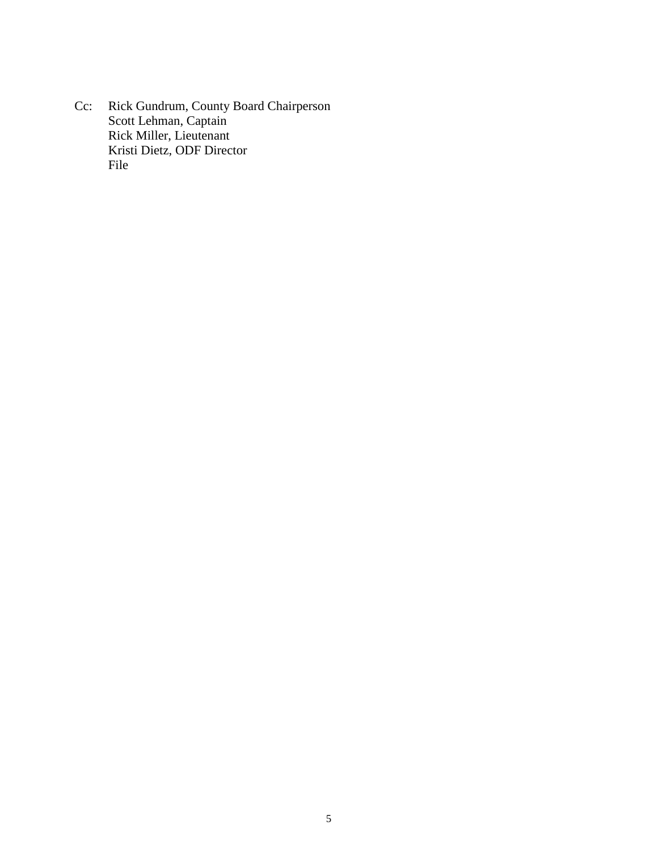Cc: Rick Gundrum, County Board Chairperson Scott Lehman, Captain Rick Miller, Lieutenant Kristi Dietz, ODF Director File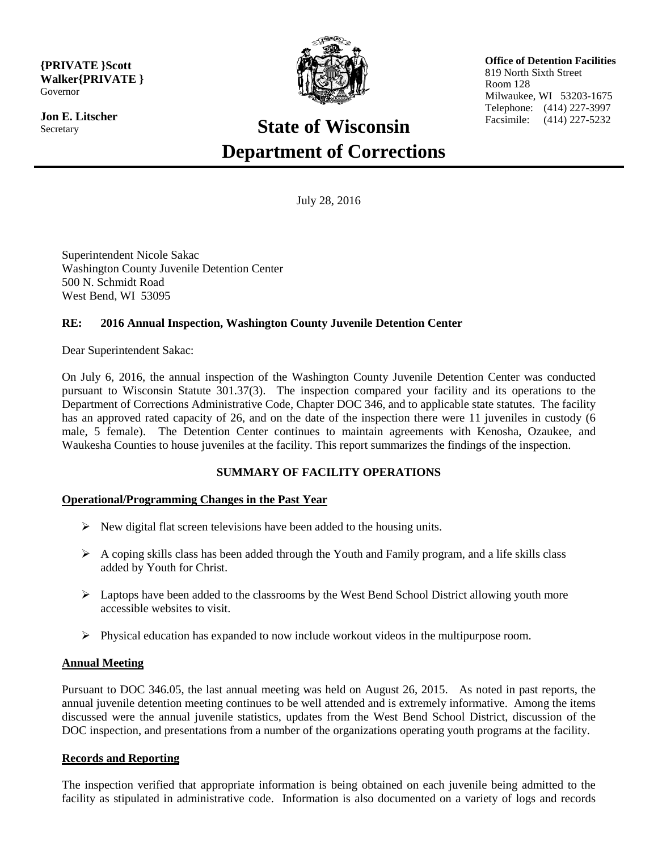**{PRIVATE }Scott Walker{PRIVATE }** Governor

**Jon E. Litscher Secretary** 



 **Office of Detention Facilities** 819 North Sixth Street Room 128 Milwaukee, WI 53203-1675 Telephone: (414) 227-3997 Facsimile: (414) 227-5232

# **State of Wisconsin Department of Corrections**

July 28, 2016

Superintendent Nicole Sakac Washington County Juvenile Detention Center 500 N. Schmidt Road West Bend, WI 53095

## **RE: 2016 Annual Inspection, Washington County Juvenile Detention Center**

Dear Superintendent Sakac:

On July 6, 2016, the annual inspection of the Washington County Juvenile Detention Center was conducted pursuant to Wisconsin Statute 301.37(3). The inspection compared your facility and its operations to the Department of Corrections Administrative Code, Chapter DOC 346, and to applicable state statutes. The facility has an approved rated capacity of 26, and on the date of the inspection there were 11 juveniles in custody (6 male, 5 female). The Detention Center continues to maintain agreements with Kenosha, Ozaukee, and Waukesha Counties to house juveniles at the facility. This report summarizes the findings of the inspection.

## **SUMMARY OF FACILITY OPERATIONS**

#### **Operational/Programming Changes in the Past Year**

- $\triangleright$  New digital flat screen televisions have been added to the housing units.
- $\triangleright$  A coping skills class has been added through the Youth and Family program, and a life skills class added by Youth for Christ.
- $\triangleright$  Laptops have been added to the classrooms by the West Bend School District allowing youth more accessible websites to visit.
- $\triangleright$  Physical education has expanded to now include workout videos in the multipurpose room.

#### **Annual Meeting**

Pursuant to DOC 346.05, the last annual meeting was held on August 26, 2015. As noted in past reports, the annual juvenile detention meeting continues to be well attended and is extremely informative. Among the items discussed were the annual juvenile statistics, updates from the West Bend School District, discussion of the DOC inspection, and presentations from a number of the organizations operating youth programs at the facility.

#### **Records and Reporting**

The inspection verified that appropriate information is being obtained on each juvenile being admitted to the facility as stipulated in administrative code. Information is also documented on a variety of logs and records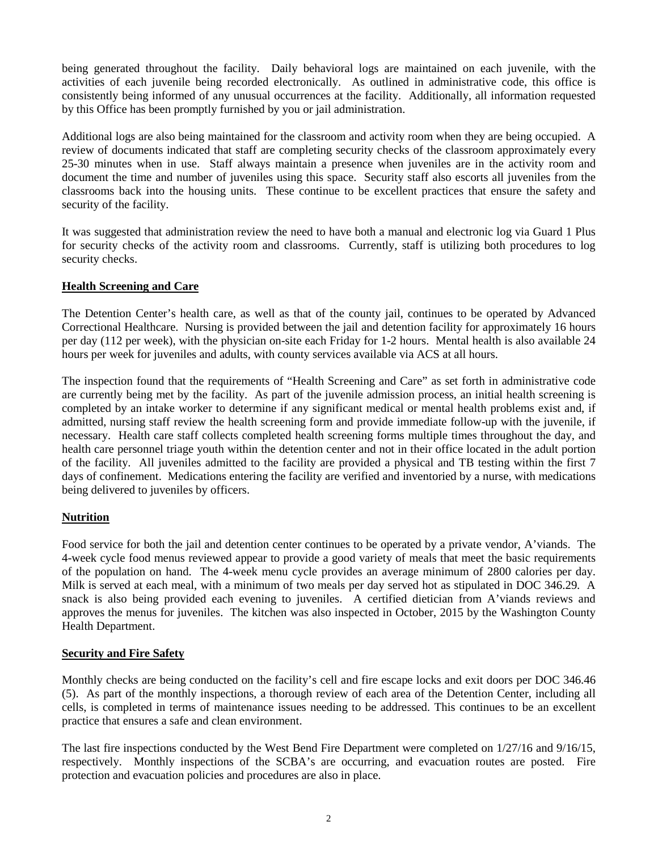being generated throughout the facility. Daily behavioral logs are maintained on each juvenile, with the activities of each juvenile being recorded electronically. As outlined in administrative code, this office is consistently being informed of any unusual occurrences at the facility. Additionally, all information requested by this Office has been promptly furnished by you or jail administration.

Additional logs are also being maintained for the classroom and activity room when they are being occupied. A review of documents indicated that staff are completing security checks of the classroom approximately every 25-30 minutes when in use. Staff always maintain a presence when juveniles are in the activity room and document the time and number of juveniles using this space. Security staff also escorts all juveniles from the classrooms back into the housing units. These continue to be excellent practices that ensure the safety and security of the facility.

It was suggested that administration review the need to have both a manual and electronic log via Guard 1 Plus for security checks of the activity room and classrooms. Currently, staff is utilizing both procedures to log security checks.

#### **Health Screening and Care**

The Detention Center's health care, as well as that of the county jail, continues to be operated by Advanced Correctional Healthcare. Nursing is provided between the jail and detention facility for approximately 16 hours per day (112 per week), with the physician on-site each Friday for 1-2 hours. Mental health is also available 24 hours per week for juveniles and adults, with county services available via ACS at all hours.

The inspection found that the requirements of "Health Screening and Care" as set forth in administrative code are currently being met by the facility. As part of the juvenile admission process, an initial health screening is completed by an intake worker to determine if any significant medical or mental health problems exist and, if admitted, nursing staff review the health screening form and provide immediate follow-up with the juvenile, if necessary. Health care staff collects completed health screening forms multiple times throughout the day, and health care personnel triage youth within the detention center and not in their office located in the adult portion of the facility. All juveniles admitted to the facility are provided a physical and TB testing within the first 7 days of confinement. Medications entering the facility are verified and inventoried by a nurse, with medications being delivered to juveniles by officers.

## **Nutrition**

Food service for both the jail and detention center continues to be operated by a private vendor, A'viands. The 4-week cycle food menus reviewed appear to provide a good variety of meals that meet the basic requirements of the population on hand. The 4-week menu cycle provides an average minimum of 2800 calories per day. Milk is served at each meal, with a minimum of two meals per day served hot as stipulated in DOC 346.29. A snack is also being provided each evening to juveniles. A certified dietician from A'viands reviews and approves the menus for juveniles. The kitchen was also inspected in October, 2015 by the Washington County Health Department.

#### **Security and Fire Safety**

Monthly checks are being conducted on the facility's cell and fire escape locks and exit doors per DOC 346.46 (5). As part of the monthly inspections, a thorough review of each area of the Detention Center, including all cells, is completed in terms of maintenance issues needing to be addressed. This continues to be an excellent practice that ensures a safe and clean environment.

The last fire inspections conducted by the West Bend Fire Department were completed on 1/27/16 and 9/16/15, respectively. Monthly inspections of the SCBA's are occurring, and evacuation routes are posted. Fire protection and evacuation policies and procedures are also in place.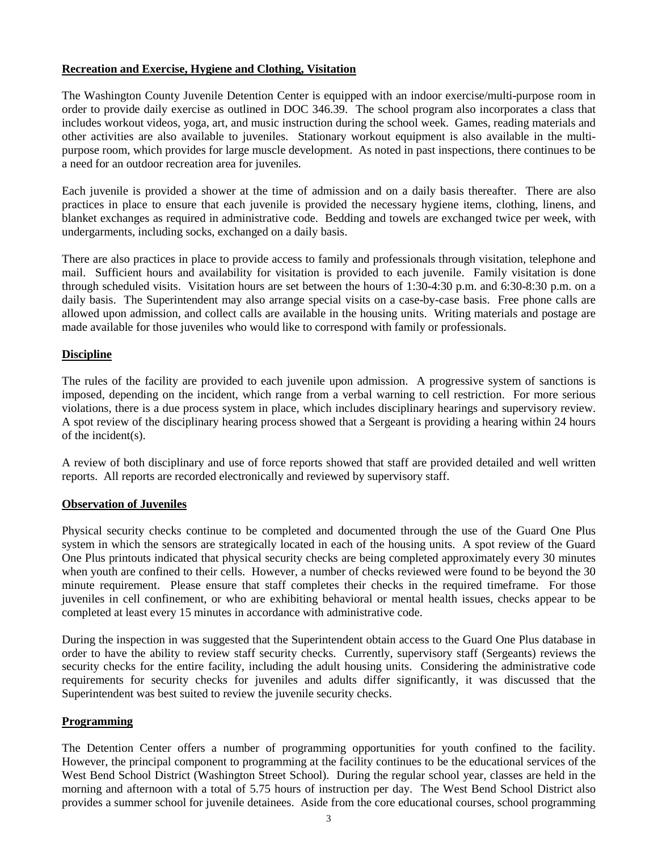#### **Recreation and Exercise, Hygiene and Clothing, Visitation**

The Washington County Juvenile Detention Center is equipped with an indoor exercise/multi-purpose room in order to provide daily exercise as outlined in DOC 346.39. The school program also incorporates a class that includes workout videos, yoga, art, and music instruction during the school week. Games, reading materials and other activities are also available to juveniles. Stationary workout equipment is also available in the multipurpose room, which provides for large muscle development. As noted in past inspections, there continues to be a need for an outdoor recreation area for juveniles.

Each juvenile is provided a shower at the time of admission and on a daily basis thereafter. There are also practices in place to ensure that each juvenile is provided the necessary hygiene items, clothing, linens, and blanket exchanges as required in administrative code. Bedding and towels are exchanged twice per week, with undergarments, including socks, exchanged on a daily basis.

There are also practices in place to provide access to family and professionals through visitation, telephone and mail. Sufficient hours and availability for visitation is provided to each juvenile. Family visitation is done through scheduled visits. Visitation hours are set between the hours of 1:30-4:30 p.m. and 6:30-8:30 p.m. on a daily basis. The Superintendent may also arrange special visits on a case-by-case basis. Free phone calls are allowed upon admission, and collect calls are available in the housing units. Writing materials and postage are made available for those juveniles who would like to correspond with family or professionals.

#### **Discipline**

The rules of the facility are provided to each juvenile upon admission. A progressive system of sanctions is imposed, depending on the incident, which range from a verbal warning to cell restriction. For more serious violations, there is a due process system in place, which includes disciplinary hearings and supervisory review. A spot review of the disciplinary hearing process showed that a Sergeant is providing a hearing within 24 hours of the incident(s).

A review of both disciplinary and use of force reports showed that staff are provided detailed and well written reports. All reports are recorded electronically and reviewed by supervisory staff.

#### **Observation of Juveniles**

Physical security checks continue to be completed and documented through the use of the Guard One Plus system in which the sensors are strategically located in each of the housing units. A spot review of the Guard One Plus printouts indicated that physical security checks are being completed approximately every 30 minutes when youth are confined to their cells. However, a number of checks reviewed were found to be beyond the 30 minute requirement. Please ensure that staff completes their checks in the required timeframe. For those juveniles in cell confinement, or who are exhibiting behavioral or mental health issues, checks appear to be completed at least every 15 minutes in accordance with administrative code.

During the inspection in was suggested that the Superintendent obtain access to the Guard One Plus database in order to have the ability to review staff security checks. Currently, supervisory staff (Sergeants) reviews the security checks for the entire facility, including the adult housing units. Considering the administrative code requirements for security checks for juveniles and adults differ significantly, it was discussed that the Superintendent was best suited to review the juvenile security checks.

#### **Programming**

The Detention Center offers a number of programming opportunities for youth confined to the facility. However, the principal component to programming at the facility continues to be the educational services of the West Bend School District (Washington Street School). During the regular school year, classes are held in the morning and afternoon with a total of 5.75 hours of instruction per day. The West Bend School District also provides a summer school for juvenile detainees. Aside from the core educational courses, school programming